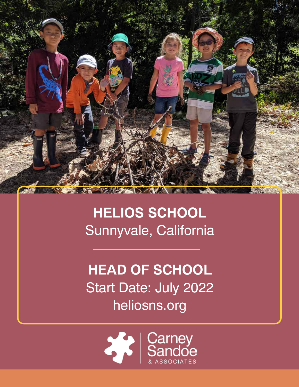

# **HELIOS SCHOOL** Sunnyvale, California

**HEAD OF SCHOOL** Start Date: July 2022 heliosns.org

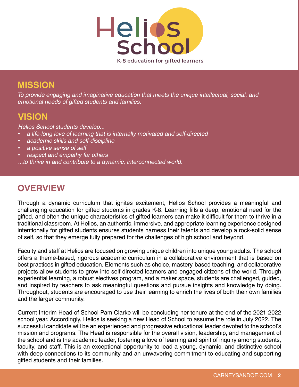

### **MISSION**

To provide engaging and imaginative education that meets the unique intellectual, social, and emotional needs of gifted students and families.

## **VISION**

Helios School students develop...

- a life-long love of learning that is internally motivated and self-directed
- academic skills and self-discipline
- a positive sense of self
- respect and empathy for others

...to thrive in and contribute to a dynamic, interconnected world.

## **OVERVIEW**

Through a dynamic curriculum that ignites excitement, Helios School provides a meaningful and challenging education for gifted students in grades K-8. Learning fills a deep, emotional need for the gifted, and often the unique characteristics of gifted learners can make it difficult for them to thrive in a traditional classroom. At Helios, an authentic, immersive, and appropriate learning experience designed intentionally for gifted students ensures students harness their talents and develop a rock-solid sense of self, so that they emerge fully prepared for the challenges of high school and beyond.

Faculty and staff at Helios are focused on growing unique children into unique young adults. The school offers a theme-based, rigorous academic curriculum in a collaborative environment that is based on best practices in gifted education. Elements such as choice, mastery-based teaching, and collaborative projects allow students to grow into self-directed learners and engaged citizens of the world. Through experiential learning, a robust electives program, and a maker space, students are challenged, guided, and inspired by teachers to ask meaningful questions and pursue insights and knowledge by doing. Throughout, students are encouraged to use their learning to enrich the lives of both their own families and the larger community.

Current Interim Head of School Pam Clarke will be concluding her tenure at the end of the 2021-2022 school year. Accordingly, Helios is seeking a new Head of School to assume the role in July 2022. The successful candidate will be an experienced and progressive educational leader devoted to the school's mission and programs. The Head is responsible for the overall vision, leadership, and management of the school and is the academic leader, fostering a love of learning and spirit of inquiry among students, faculty, and staff. This is an exceptional opportunity to lead a young, dynamic, and distinctive school with deep connections to its community and an unwavering commitment to educating and supporting gifted students and their families.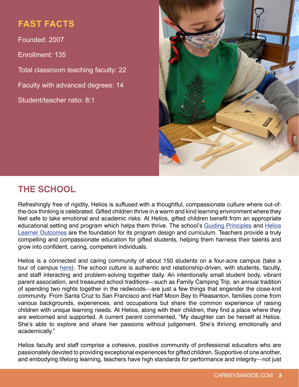## **FAST FACTS**

Founded: 2007 Enrollment: 135 Total classroom teaching faculty: 22 Faculty with advanced degrees: 14 Student/teacher ratio: 8:1



## **THE SCHOOL**

Refreshingly free of rigidity, Helios is suffused with a thoughtful, compassionate culture where out-ofthe-box thinking is celebrated. Gifted children thrive in a warm and kind learning environment where they feel safe to take emotional and academic risks. At Helios, gifted children benefit from an appropriate educational setting and program which helps them thrive. The school's [Guiding Principles a](https://www.heliosns.org/lower-school/guiding-principles-and-helios-learning-outcomes)nd Helios [Learner Outcomes are](https://www.heliosns.org/lower-school/guiding-principles-and-helios-learning-outcomes) the foundation for its program design and curriculum. Teachers provide a truly compelling and compassionate education for gifted students, helping them harness their talents and grow into confident, caring, competent individuals.

Helios is a connected and caring community of about 150 students on a four-acre campus (take a tour of campus [here\).](https://vimeo.com/468358184) The school culture is authentic and relationship-driven, with students, faculty, and staff interacting and problem-solving together daily. An intentionally small student body, vibrant parent association, and treasured school traditions—such as Family Camping Trip, an annual tradition of spending two nights together in the redwoods—are just a few things that engender the close-knit community. From Santa Cruz to San Francisco and Half Moon Bay to Pleasanton, families come from various backgrounds, experiences, and occupations but share the common experience of raising children with unique learning needs. At Helios, along with their children, they find a place where they are welcomed and supported. A current parent commented, "My daughter can be herself at Helios. She's able to explore and share her passions without judgement. She's thriving emotionally and academically."

Helios faculty and staff comprise a cohesive, positive community of professional educators who are passionately devoted to providing exceptional experiences for gifted children. Supportive of one another, and embodying lifelong learning, teachers have high standards for performance and integrity—not just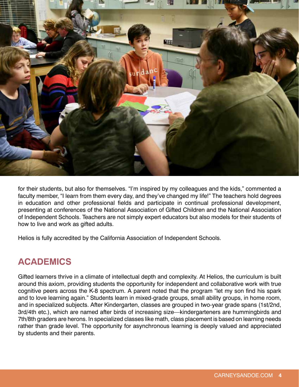

for their students, but also for themselves. "I'm inspired by my colleagues and the kids," commented a faculty member, "I learn from them every day, and they've changed my life!" The teachers hold degrees in education and other professional fields and participate in continual professional development, presenting at conferences of the National Association of Gifted Children and the National Association of Independent Schools. Teachers are not simply expert educators but also models for their students of how to live and work as gifted adults.

Helios is fully accredited by the California Association of Independent Schools.

## **ACADEMICS**

Gifted learners thrive in a climate of intellectual depth and complexity. At Helios, the curriculum is built around this axiom, providing students the opportunity for independent and collaborative work with true cognitive peers across the K-8 spectrum. A parent noted that the program "let my son find his spark and to love learning again." Students learn in mixed-grade groups, small ability groups, in home room, and in specialized subjects. After Kindergarten, classes are grouped in two-year grade spans (1st/2nd, 3rd/4th etc.), which are named after birds of increasing size—kindergarteners are hummingbirds and 7th/8th graders are herons. In specialized classes like math, class placement is based on learning needs rather than grade level. The opportunity for asynchronous learning is deeply valued and appreciated by students and their parents.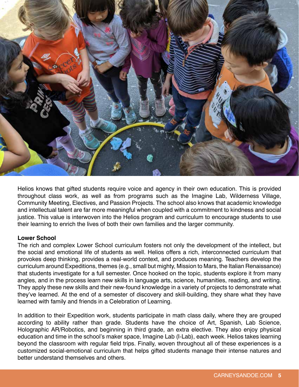

Helios knows that gifted students require voice and agency in their own education. This is provided throughout class work, as well as from programs such as the Imagine Lab, Wilderness Village, Community Meeting, Electives, and Passion Projects. The school also knows that academic knowledge and intellectual talent are far more meaningful when coupled with a commitment to kindness and social justice. This value is interwoven into the Helios program and curriculum to encourage students to use their learning to enrich the lives of both their own families and the larger community.

#### **Lower School**

The rich and complex Lower School curriculum fosters not only the development of the intellect, but the social and emotional life of students as well. Helios offers a rich, interconnected curriculum that provokes deep thinking, provides a real-world context, and produces meaning. Teachers develop the curriculum around Expeditions, themes (e.g., small but mighty, Mission to Mars, the Italian Renaissance) that students investigate for a full semester. Once hooked on the topic, students explore it from many angles, and in the process learn new skills in language arts, science, humanities, reading, and writing. They apply these new skills and their new-found knowledge in a variety of projects to demonstrate what they've learned. At the end of a semester of discovery and skill-building, they share what they have learned with family and friends in a Celebration of Learning.

In addition to their Expedition work, students participate in math class daily, where they are grouped according to ability rather than grade. Students have the choice of Art, Spanish, Lab Science, Holographic AR/Robotics, and beginning in third grade, an extra elective. They also enjoy physical education and time in the school's maker space, Imagine Lab (I-Lab), each week. Helios takes learning beyond the classroom with regular field trips. Finally, woven throughout all of these experiences is a customized social-emotional curriculum that helps gifted students manage their intense natures and better understand themselves and others.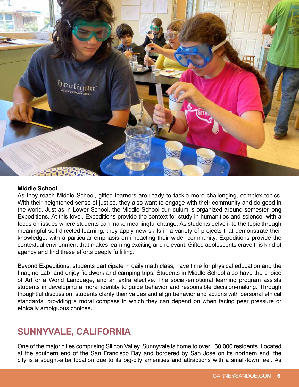

#### **Middle School**

As they reach Middle School, gifted learners are ready to tackle more challenging, complex topics. With their heightened sense of justice, they also want to engage with their community and do good in the world. Just as in Lower School, the Middle School curriculum is organized around semester-long Expeditions. At this level, Expeditions provide the context for study in humanities and science, with a focus on issues where students can make meaningful change. As students delve into the topic through meaningful self-directed learning, they apply new skills in a variety of projects that demonstrate their knowledge, with a particular emphasis on impacting their wider community. Expeditions provide the contextual environment that makes learning exciting and relevant. Gifted adolescents crave this kind of agency and find these efforts deeply fulfilling.

Beyond Expeditions, students participate in daily math class, have time for physical education and the Imagine Lab, and enjoy fieldwork and camping trips. Students in Middle School also have the choice of Art or a World Language, and an extra elective. The social-emotional learning program assists students in developing a moral identity to guide behavior and responsible decision-making. Through thoughtful discussion, students clarify their values and align behavior and actions with personal ethical standards, providing a moral compass in which they can depend on when facing peer pressure or ethically ambiguous choices.

### **SUNNYVALE, CALIFORNIA**

One of the major cities comprising Silicon Valley, Sunnyvale is home to over 150,000 residents. Located at the southern end of the San Francisco Bay and bordered by San Jose on its northern end, the city is a sought-after location due to its big-city amenities and attractions with a small-town feel. As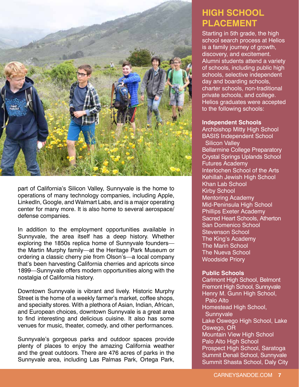

part of California's Silicon Valley, Sunnyvale is the home to operations of many technology companies, including Apple, LinkedIn, Google, and Walmart Labs, and is a major operating center for many more. It is also home to several aerospace/ defense companies.

In addition to the employment opportunities available in Sunnyvale, the area itself has a deep history. Whether exploring the 1850s replica home of Sunnyvale founders the Martin Murphy family—at the Heritage Park Museum or ordering a classic cherry pie from Olson's—a local company that's been harvesting California cherries and apricots since 1899—Sunnyvale offers modern opportunities along with the nostalgia of California history.

Downtown Sunnyvale is vibrant and lively. Historic Murphy Street is the home of a weekly farmer's market, coffee shops, and specialty stores. With a plethora of Asian, Indian, African, and European choices, downtown Sunnyvale is a great area to find interesting and delicious cuisine. It also has some venues for music, theater, comedy, and other performances.

Sunnyvale's gorgeous parks and outdoor spaces provide plenty of places to enjoy the amazing California weather and the great outdoors. There are 476 acres of parks in the Sunnyvale area, including Las Palmas Park, Ortega Park,

## **HIGH SCHOOL PLACEMENT**

Starting in 5th grade, the high school search process at Helios is a family journey of growth, discovery, and excitement. Alumni students attend a variety of schools, including public high schools, selective independent day and boarding schools, charter schools, non-traditional private schools, and college. Helios graduates were accepted to the following schools:

#### **Independent Schools**

Archbishop Mitty High School BASIS Independent School Silicon Valley Bellarmine College Preparatory Crystal Springs Uplands School Futures Academy Interlochen School of the Arts Kehillah Jewish High School Khan Lab School Kirby School Mentoring Academy Mid-Peninsula High School Phillips Exeter Academy Sacred Heart Schools, Atherton San Domenico School Stevenson School The King's Academy The Marin School The Nueva School Woodside Priory

#### **Public Schools**

Carlmont High School, Belmont Fremont High School, Sunnyvale Henry M. Gunn High School, Palo Alto Homestead High School, **Sunnyvale** Lake Oswego High School, Lake Oswego, OR Mountain View High School Palo Alto High School Prospect High School, Saratoga Summit Denali School, Sunnyvale Summit Shasta School, Daly City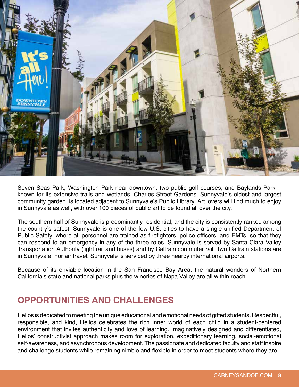

Seven Seas Park, Washington Park near downtown, two public golf courses, and Baylands Park known for its extensive trails and wetlands. Charles Street Gardens, Sunnyvale's oldest and largest community garden, is located adjacent to Sunnyvale's Public Library. Art lovers will find much to enjoy in Sunnyvale as well, with over 100 pieces of public art to be found all over the city.

The southern half of Sunnyvale is predominantly residential, and the city is consistently ranked among the country's safest. Sunnyvale is one of the few U.S. cities to have a single unified Department of Public Safety, where all personnel are trained as firefighters, police officers, and EMTs, so that they can respond to an emergency in any of the three roles. Sunnyvale is served by Santa Clara Valley Transportation Authority (light rail and buses) and by Caltrain commuter rail. Two Caltrain stations are in Sunnyvale. For air travel, Sunnyvale is serviced by three nearby international airports.

Because of its enviable location in the San Francisco Bay Area, the natural wonders of Northern California's state and national parks plus the wineries of Napa Valley are all within reach.

### **OPPORTUNITIES AND CHALLENGES**

Helios is dedicated to meeting the unique educational and emotional needs of gifted students. Respectful, responsible, and kind, Helios celebrates the rich inner world of each child in a student-centered environment that invites authenticity and love of learning. Imaginatively designed and differentiated, Helios' constructivist approach makes room for exploration, expeditionary learning, social-emotional self-awareness, and asynchronous development. The passionate and dedicated faculty and staff inspire and challenge students while remaining nimble and flexible in order to meet students where they are.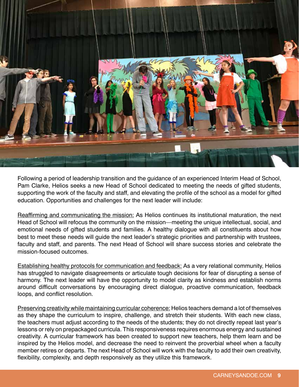

Following a period of leadership transition and the guidance of an experienced Interim Head of School, Pam Clarke, Helios seeks a new Head of School dedicated to meeting the needs of gifted students, supporting the work of the faculty and staff, and elevating the profile of the school as a model for gifted education. Opportunities and challenges for the next leader will include:

Reaffirming and communicating the mission: As Helios continues its institutional maturation, the next Head of School will refocus the community on the mission—meeting the unique intellectual, social, and emotional needs of gifted students and families. A healthy dialogue with all constituents about how best to meet these needs will guide the next leader's strategic priorities and partnership with trustees, faculty and staff, and parents. The next Head of School will share success stories and celebrate the mission-focused outcomes.

Establishing healthy protocols for communication and feedback: As a very relational community, Helios has struggled to navigate disagreements or articulate tough decisions for fear of disrupting a sense of harmony. The next leader will have the opportunity to model clarity as kindness and establish norms around difficult conversations by encouraging direct dialogue, proactive communication, feedback loops, and conflict resolution.

Preserving creativity while maintaining curricular coherence: Helios teachers demand a lot of themselves as they shape the curriculum to inspire, challenge, and stretch their students. With each new class, the teachers must adjust according to the needs of the students; they do not directly repeat last year's lessons or rely on prepackaged curricula. This responsiveness requires enormous energy and sustained creativity. A curricular framework has been created to support new teachers, help them learn and be inspired by the Helios model, and decrease the need to reinvent the proverbial wheel when a faculty member retires or departs. The next Head of School will work with the faculty to add their own creativity, flexibility, complexity, and depth responsively as they utilize this framework.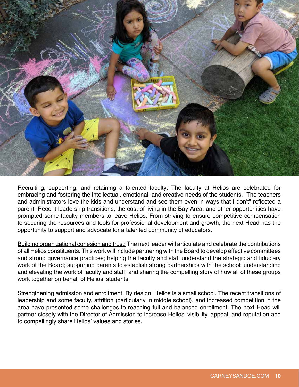

Recruiting, supporting, and retaining a talented faculty: The faculty at Helios are celebrated for embracing and fostering the intellectual, emotional, and creative needs of the students. "The teachers and administrators love the kids and understand and see them even in ways that I don't" reflected a parent. Recent leadership transitions, the cost of living in the Bay Area, and other opportunities have prompted some faculty members to leave Helios. From striving to ensure competitive compensation to securing the resources and tools for professional development and growth, the next Head has the opportunity to support and advocate for a talented community of educators.

Building organizational cohesion and trust: The next leader will articulate and celebrate the contributions of all Helios constituents. This work will include partnering with the Board to develop effective committees and strong governance practices; helping the faculty and staff understand the strategic and fiduciary work of the Board; supporting parents to establish strong partnerships with the school; understanding and elevating the work of faculty and staff; and sharing the compelling story of how all of these groups work together on behalf of Helios' students.

Strengthening admission and enrollment: By design, Helios is a small school. The recent transitions of leadership and some faculty, attrition (particularly in middle school), and increased competition in the area have presented some challenges to reaching full and balanced enrollment. The next Head will partner closely with the Director of Admission to increase Helios' visibility, appeal, and reputation and to compellingly share Helios' values and stories.